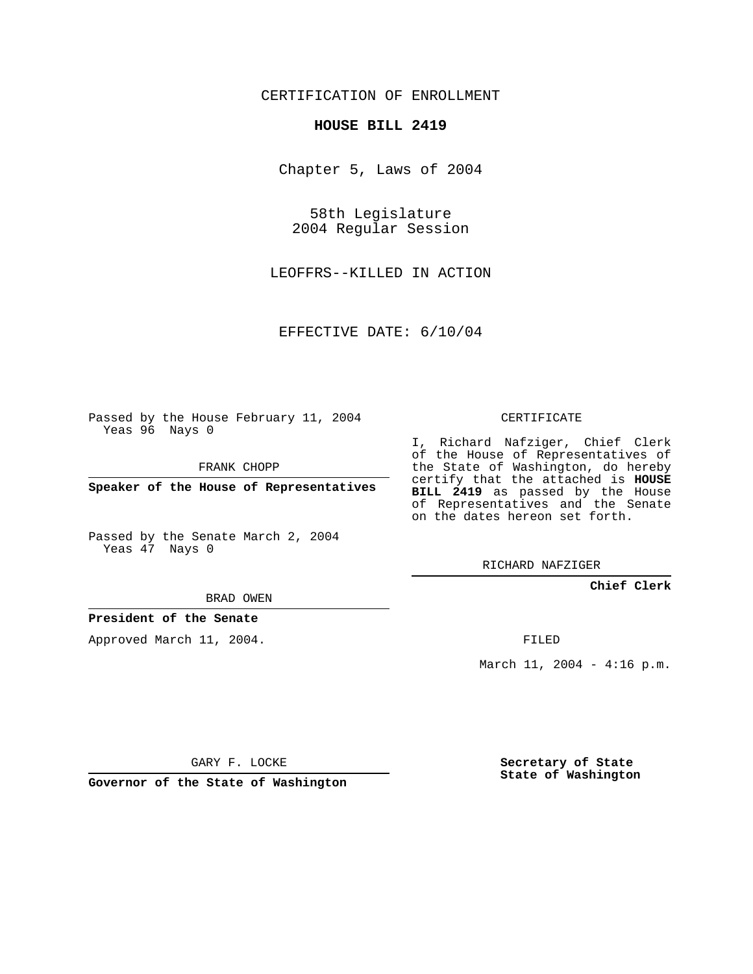# CERTIFICATION OF ENROLLMENT

## **HOUSE BILL 2419**

Chapter 5, Laws of 2004

58th Legislature 2004 Regular Session

LEOFFRS--KILLED IN ACTION

EFFECTIVE DATE: 6/10/04

Passed by the House February 11, 2004 Yeas 96 Nays 0

FRANK CHOPP

**Speaker of the House of Representatives**

Passed by the Senate March 2, 2004 Yeas 47 Nays 0

CERTIFICATE

I, Richard Nafziger, Chief Clerk of the House of Representatives of the State of Washington, do hereby certify that the attached is **HOUSE BILL 2419** as passed by the House of Representatives and the Senate on the dates hereon set forth.

RICHARD NAFZIGER

### **Chief Clerk**

BRAD OWEN

## **President of the Senate**

Approved March 11, 2004.

FILED

March 11, 2004 - 4:16 p.m.

GARY F. LOCKE

**Governor of the State of Washington**

**Secretary of State State of Washington**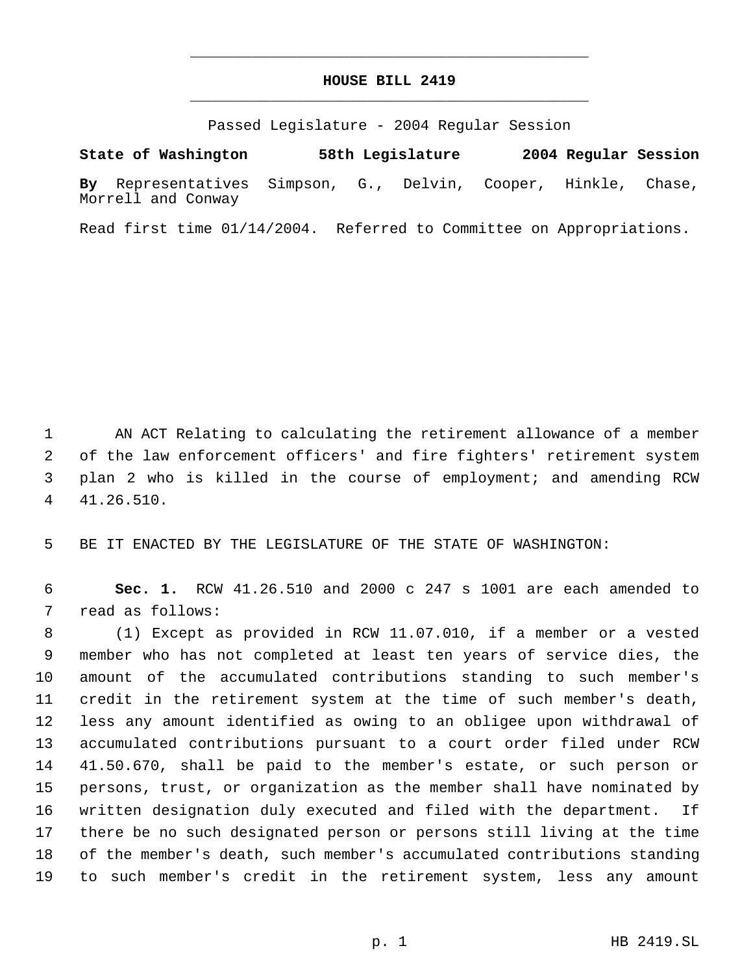# **HOUSE BILL 2419** \_\_\_\_\_\_\_\_\_\_\_\_\_\_\_\_\_\_\_\_\_\_\_\_\_\_\_\_\_\_\_\_\_\_\_\_\_\_\_\_\_\_\_\_\_

\_\_\_\_\_\_\_\_\_\_\_\_\_\_\_\_\_\_\_\_\_\_\_\_\_\_\_\_\_\_\_\_\_\_\_\_\_\_\_\_\_\_\_\_\_

Passed Legislature - 2004 Regular Session

**State of Washington 58th Legislature 2004 Regular Session By** Representatives Simpson, G., Delvin, Cooper, Hinkle, Chase, Morrell and Conway

Read first time 01/14/2004. Referred to Committee on Appropriations.

 AN ACT Relating to calculating the retirement allowance of a member of the law enforcement officers' and fire fighters' retirement system plan 2 who is killed in the course of employment; and amending RCW 41.26.510.

BE IT ENACTED BY THE LEGISLATURE OF THE STATE OF WASHINGTON:

 **Sec. 1.** RCW 41.26.510 and 2000 c 247 s 1001 are each amended to read as follows:

 (1) Except as provided in RCW 11.07.010, if a member or a vested member who has not completed at least ten years of service dies, the amount of the accumulated contributions standing to such member's credit in the retirement system at the time of such member's death, less any amount identified as owing to an obligee upon withdrawal of accumulated contributions pursuant to a court order filed under RCW 41.50.670, shall be paid to the member's estate, or such person or persons, trust, or organization as the member shall have nominated by written designation duly executed and filed with the department. If there be no such designated person or persons still living at the time of the member's death, such member's accumulated contributions standing to such member's credit in the retirement system, less any amount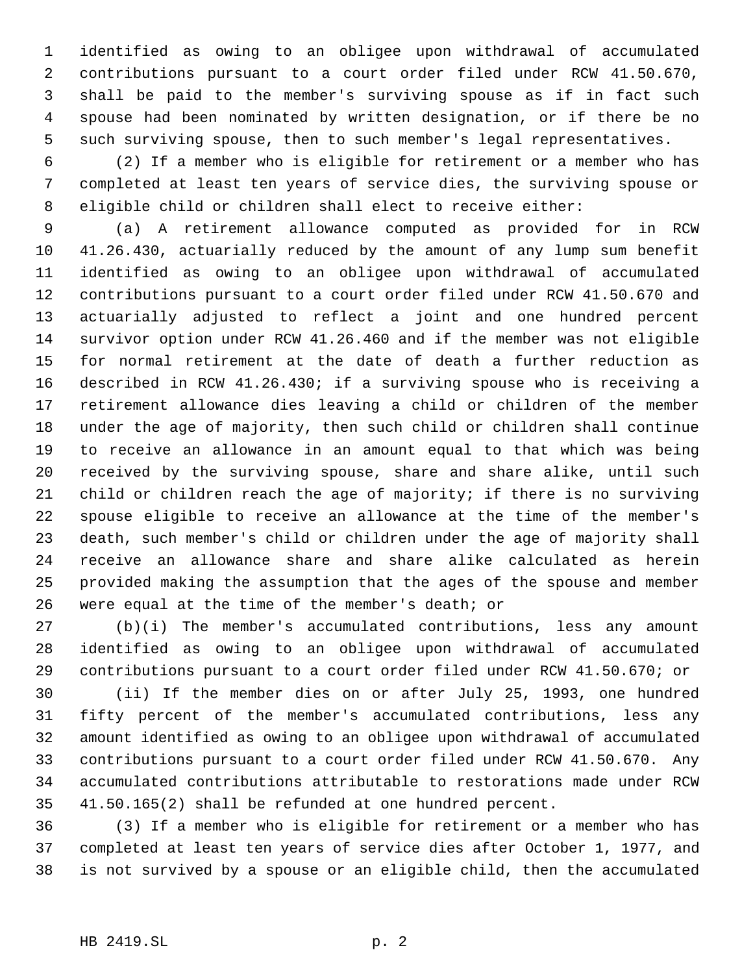identified as owing to an obligee upon withdrawal of accumulated contributions pursuant to a court order filed under RCW 41.50.670, shall be paid to the member's surviving spouse as if in fact such spouse had been nominated by written designation, or if there be no such surviving spouse, then to such member's legal representatives.

 (2) If a member who is eligible for retirement or a member who has completed at least ten years of service dies, the surviving spouse or eligible child or children shall elect to receive either:

 (a) A retirement allowance computed as provided for in RCW 41.26.430, actuarially reduced by the amount of any lump sum benefit identified as owing to an obligee upon withdrawal of accumulated contributions pursuant to a court order filed under RCW 41.50.670 and actuarially adjusted to reflect a joint and one hundred percent survivor option under RCW 41.26.460 and if the member was not eligible for normal retirement at the date of death a further reduction as described in RCW 41.26.430; if a surviving spouse who is receiving a retirement allowance dies leaving a child or children of the member under the age of majority, then such child or children shall continue to receive an allowance in an amount equal to that which was being received by the surviving spouse, share and share alike, until such child or children reach the age of majority; if there is no surviving spouse eligible to receive an allowance at the time of the member's death, such member's child or children under the age of majority shall receive an allowance share and share alike calculated as herein provided making the assumption that the ages of the spouse and member were equal at the time of the member's death; or

 (b)(i) The member's accumulated contributions, less any amount identified as owing to an obligee upon withdrawal of accumulated contributions pursuant to a court order filed under RCW 41.50.670; or

 (ii) If the member dies on or after July 25, 1993, one hundred fifty percent of the member's accumulated contributions, less any amount identified as owing to an obligee upon withdrawal of accumulated contributions pursuant to a court order filed under RCW 41.50.670. Any accumulated contributions attributable to restorations made under RCW 41.50.165(2) shall be refunded at one hundred percent.

 (3) If a member who is eligible for retirement or a member who has completed at least ten years of service dies after October 1, 1977, and is not survived by a spouse or an eligible child, then the accumulated